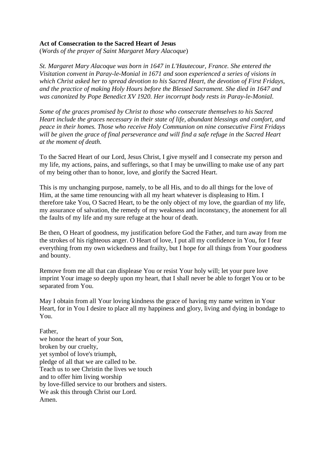## **Act of Consecration to the Sacred Heart of Jesus**

(*Words of the prayer of Saint Margaret Mary Alacoque*)

*St. Margaret Mary Alacoque was born in 1647 in L'Hautecour, France. She entered the Visitation convent in Paray-le-Monial in 1671 and soon experienced a series of visions in which Christ asked her to spread devotion to his Sacred Heart, the devotion of First Fridays, and the practice of making Holy Hours before the Blessed Sacrament. She died in 1647 and was canonized by Pope Benedict XV 1920. Her incorrupt body rests in Paray-le-MoniaI.* 

*Some of the graces promised by Christ to those who consecrate themselves to his Sacred Heart include the graces necessary in their state of life, abundant blessings and comfort, and peace in their homes. Those who receive Holy Communion on nine consecutive First Fridays*  will be given the grace of final perseverance and will find a safe refuge in the Sacred Heart *at the moment of death.* 

To the Sacred Heart of our Lord, Jesus Christ, I give myself and I consecrate my person and my life, my actions, pains, and sufferings, so that I may be unwilling to make use of any part of my being other than to honor, love, and glorify the Sacred Heart.

This is my unchanging purpose, namely, to be all His, and to do all things for the love of Him, at the same time renouncing with all my heart whatever is displeasing to Him. I therefore take You, O Sacred Heart, to be the only object of my love, the guardian of my life, my assurance of salvation, the remedy of my weakness and inconstancy, the atonement for all the faults of my life and my sure refuge at the hour of death.

Be then, O Heart of goodness, my justification before God the Father, and turn away from me the strokes of his righteous anger. O Heart of love, I put all my confidence in You, for I fear everything from my own wickedness and frailty, but I hope for all things from Your goodness and bounty.

Remove from me all that can displease You or resist Your holy will; let your pure love imprint Your image so deeply upon my heart, that I shall never be able to forget You or to be separated from You.

May I obtain from all Your loving kindness the grace of having my name written in Your Heart, for in You I desire to place all my happiness and glory, living and dying in bondage to You.

Father, we honor the heart of your Son, broken by our cruelty, yet symbol of love's triumph, pledge of all that we are called to be. Teach us to see Christin the lives we touch and to offer him living worship by love-filled service to our brothers and sisters. We ask this through Christ our Lord. Amen.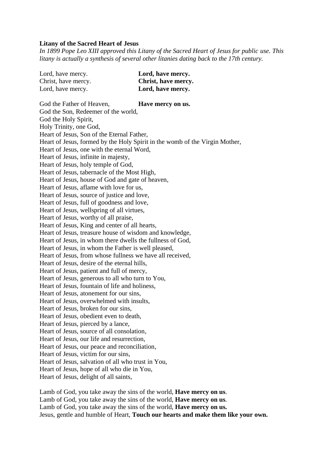## **Litany of the Sacred Heart of Jesus**

*In 1899 Pope Leo XIII approved this Litany of the Sacred Heart of Jesus for public use. This litany is actually a synthesis of several other litanies dating back to the 17th century.*

| Lord, have mercy.   | Lord, have mercy.   |
|---------------------|---------------------|
| Christ, have mercy. | Christ, have mercy. |
| Lord, have mercy.   | Lord, have mercy.   |

God the Father of Heaven, **Have mercy on us.** God the Son, Redeemer of the world, God the Holy Spirit, Holy Trinity, one God, Heart of Jesus, Son of the Eternal Father, Heart of Jesus, formed by the Holy Spirit in the womb of the Virgin Mother, Heart of Jesus, one with the eternal Word, Heart of Jesus, infinite in majesty, Heart of Jesus, holy temple of God, Heart of Jesus, tabernacle of the Most High, Heart of Jesus, house of God and gate of heaven, Heart of Jesus, aflame with love for us, Heart of Jesus, source of justice and love, Heart of Jesus, full of goodness and love, Heart of Jesus, wellspring of all virtues, Heart of Jesus, worthy of all praise, Heart of Jesus, King and center of all hearts, Heart of Jesus, treasure house of wisdom and knowledge, Heart of Jesus, in whom there dwells the fullness of God, Heart of Jesus, in whom the Father is well pleased, Heart of Jesus, from whose fullness we have all received, Heart of Jesus, desire of the eternal hills, Heart of Jesus, patient and full of mercy, Heart of Jesus, generous to all who turn to You, Heart of Jesus, fountain of life and holiness, Heart of Jesus, atonement for our sins, Heart of Jesus, overwhelmed with insults, Heart of Jesus, broken for our sins, Heart of Jesus, obedient even to death, Heart of Jesus, pierced by a lance, Heart of Jesus, source of all consolation, Heart of Jesus, our life and resurrection, Heart of Jesus, our peace and reconciliation, Heart of Jesus, victim for our sins, Heart of Jesus, salvation of all who trust in You, Heart of Jesus, hope of all who die in You, Heart of Jesus, delight of all saints,

Lamb of God, you take away the sins of the world, **Have mercy on us**. Lamb of God, you take away the sins of the world, **Have mercy on us**. Lamb of God, you take away the sins of the world, **Have mercy on us.** Jesus, gentle and humble of Heart, **Touch our hearts and make them like your own.**